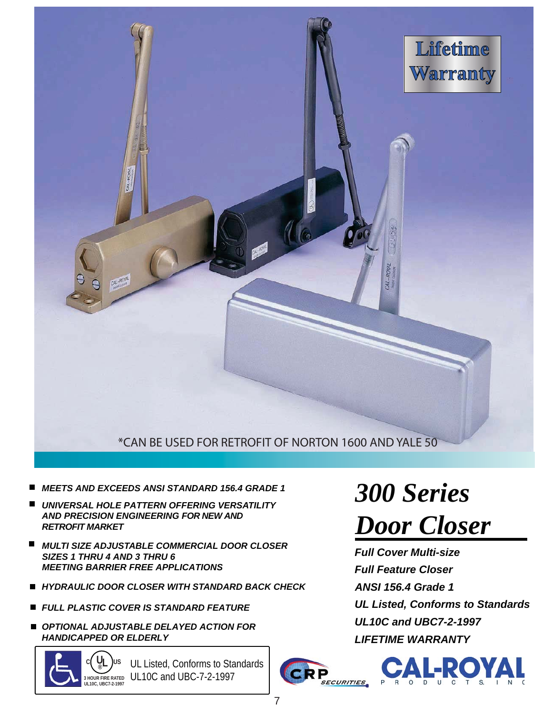

#### \*CAN BE USED FOR RETROFIT OF NORTON 1600 AND YALE 50

- *MEETS AND EXCEEDS ANSI STANDARD 156.4 GRADE 1 300 Series*
- *UNIVERSAL HOLE PATTERN OFFERING VERSATILITY AND PRECISION ENGINEERING FOR NEW AND RETROFIT MARKET*
- *MULTI SIZE ADJUSTABLE COMMERCIAL DOOR CLOSER SIZES 1 THRU 4 AND 3 THRU 6 MEETING BARRIER FREE APPLICATIONS*
- *HYDRAULIC DOOR CLOSER WITH STANDARD BACK CHECK*
- *FULL PLASTIC COVER IS STANDARD FEATURE*
- *OPTIONAL ADJUSTABLE DELAYED ACTION FOR HANDICAPPED OR ELDERLY LIFETIME WARRANTY*

**U**<sub>I</sub> )<sub>US</sub> **UL10C, UBC7-2-1997**

**3 HOUR FIRE RATED** UL10C and UBC-7-2-1997 UL Listed, Conforms to Standards

# *Door Closer*

*ANSI 156.4 Grade 1 UL Listed, Conforms to Standards UL10C and UBC7-2-1997 Full Cover Multi-size Full Feature Closer*